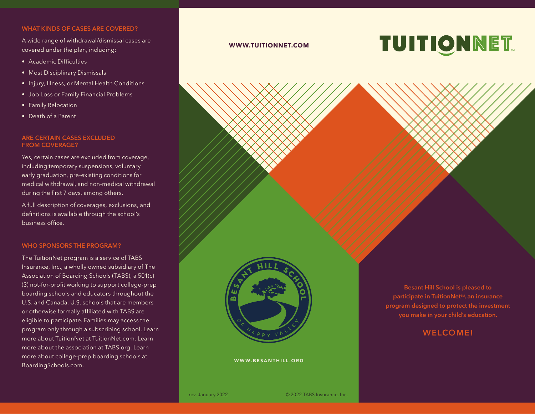## **WHAT KINDS OF CASES ARE COVERED?**

A wide range of withdrawal/dismissal cases are covered under the plan, including:

- • Academic Difficulties
- Most Disciplinary Dismissals
- Injury, Illness, or Mental Health Conditions
- Job Loss or Family Financial Problems
- Family Relocation
- Death of a Parent

# **ARE CERTAIN CASES EXCLUDED FROM COVERAGE?**

Yes, certain cases are excluded from coverage, including temporary suspensions, voluntary early graduation, pre-existing conditions for medical withdrawal, and non-medical withdrawal during the first 7 days, among others.

A full description of coverages, exclusions, and definitions is available through the school's business office.

#### **WHO SPONSORS THE PROGRAM?**

The TuitionNet program is a service of TABS Insurance, Inc., a wholly owned subsidiary of The Association of Boarding Schools (TABS), a 501(c) (3) not-for-profit working to support college-prep boarding schools and educators throughout the U.S. and Canada. U.S. schools that are members or otherwise formally affiliated with TABS are eligible to participate. Families may access the program only through a subscribing school. Learn more about TuitionNet at TuitionNet.com. Learn more about the association at TABS.org. Learn more about college-prep boarding schools at BoardingSchools.com.

#### **WWW.TUITIONNET.COM**

# **TUITIONNET.**



WWW.BESANTHILL.ORG

**Besant Hill School is pleased to participate in TuitionNetSM, an insurance program designed to protect the investment you make in your child's education.** 

# **WELCOME!**